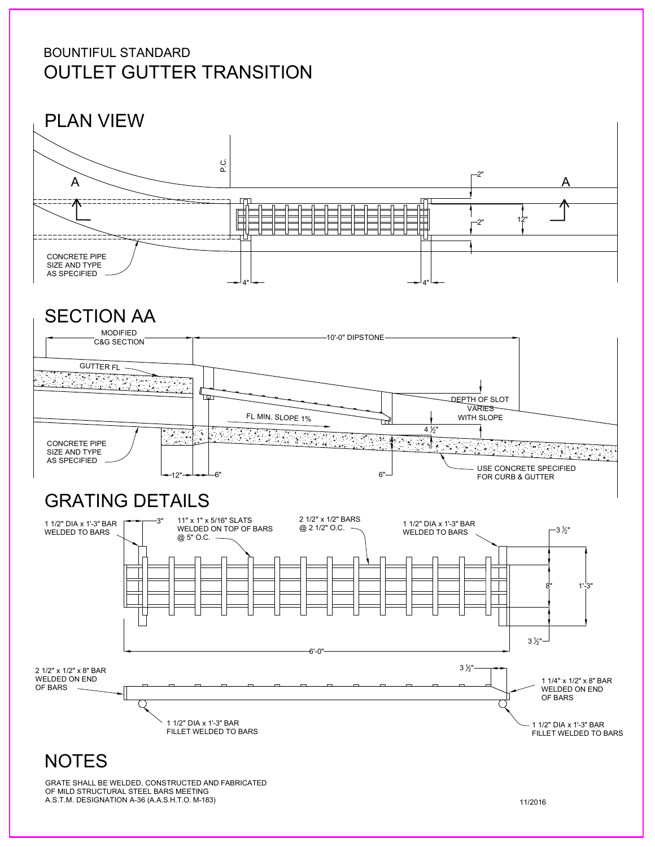#### BOUNTIFUL STANDARD OUTLET GUTTER TRANSITION



### SECTION AA



# GRATING DETAILS



GRATE SHALL BE WELDED, CONSTRUCTED AND FABRICATED OF MILD STRUCTURAL STEEL BARS MEETING A.S.T.M. DESIGNATION A-36 (A.A.S.H.T.O. M-183)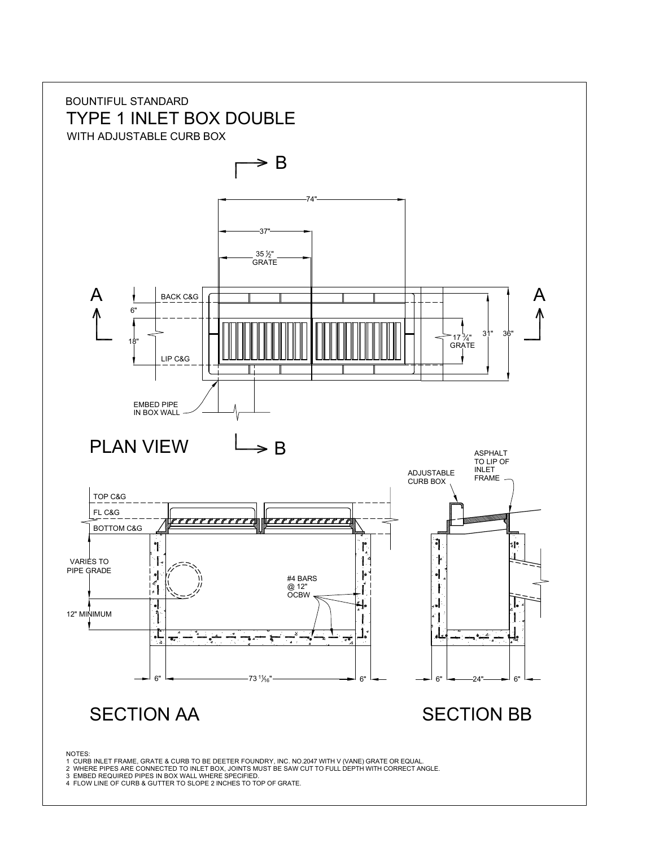

- 
- 3 EMBED REQUIRED PIPES IN BOX WALL WHERE SPECIFIED. 4 FLOW LINE OF CURB & GUTTER TO SLOPE 2 INCHES TO TOP OF GRATE.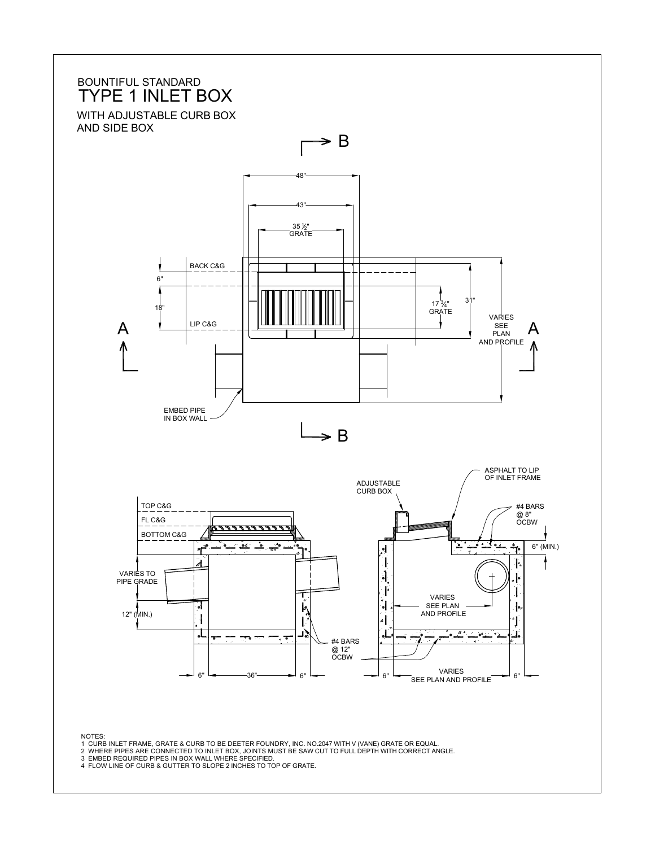

NOTES: 1 CURB INLET FRAME, GRATE & CURB TO BE DEETER FOUNDRY, INC. NO.2047 WITH V (VANE) GRATE OR EQUAL.

2 WHERE PIPES ARE CONNECTED TO INLET BOX, JOINTS MUST BE SAW CUT TO FULL DEPTH WITH CORRECT ANGLE.<br>3 EMBED REQUIRED PIPES IN BOX WALL WHERE SPECIFIED.<br>4 FLOW LINE OF CURB & GUTTER TO SLOPE 2 INCHES TO TOP OF GRATE.